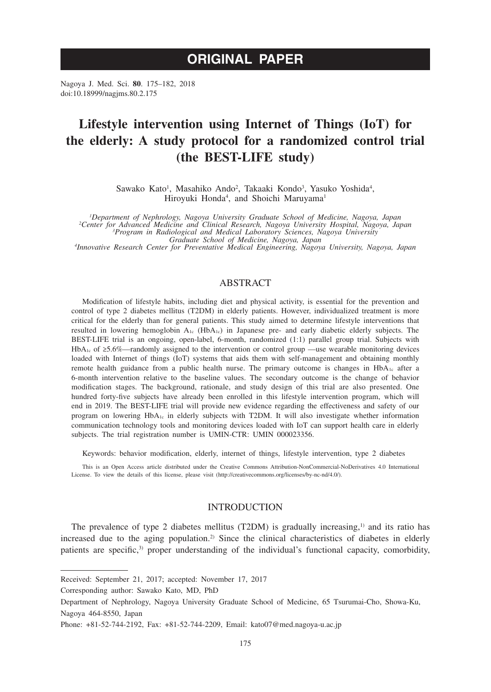# **ORIGINAL PAPER**

Nagoya J. Med. Sci. **80**. 175–182, 2018 doi:10.18999/nagjms.80.2.175

# **Lifestyle intervention using Internet of Things (IoT) for the elderly: A study protocol for a randomized control trial (the BEST-LIFE study)**

Sawako Kato<sup>1</sup>, Masahiko Ando<sup>2</sup>, Takaaki Kondo<sup>3</sup>, Yasuko Yoshida<sup>4</sup>, Hiroyuki Honda<sup>4</sup>, and Shoichi Maruyama<sup>1</sup>

*1 Department of Nephrology, Nagoya University Graduate School of Medicine, Nagoya, Japan <sup>2</sup> Center for Advanced Medicine and Clinical Research, Nagoya University Hospital, Nagoya, Japan <sup>3</sup> Program in Radiological and Medical Laboratory Sciences, Nagoya University* 

*Graduate School of Medicine, Nagoya, Japan <sup>4</sup> Innovative Research Center for Preventative Medical Engineering, Nagoya University, Nagoya, Japan*

# ABSTRACT

Modification of lifestyle habits, including diet and physical activity, is essential for the prevention and control of type 2 diabetes mellitus (T2DM) in elderly patients. However, individualized treatment is more critical for the elderly than for general patients. This study aimed to determine lifestyle interventions that resulted in lowering hemoglobin A1c (HbA1c) in Japanese pre- and early diabetic elderly subjects. The BEST-LIFE trial is an ongoing, open-label, 6-month, randomized (1:1) parallel group trial. Subjects with HbA1c of ≥5.6%—randomly assigned to the intervention or control group —use wearable monitoring devices loaded with Internet of things (IoT) systems that aids them with self-management and obtaining monthly remote health guidance from a public health nurse. The primary outcome is changes in  $HbA_{1c}$  after a 6-month intervention relative to the baseline values. The secondary outcome is the change of behavior modification stages. The background, rationale, and study design of this trial are also presented. One hundred forty-five subjects have already been enrolled in this lifestyle intervention program, which will end in 2019. The BEST-LIFE trial will provide new evidence regarding the effectiveness and safety of our program on lowering  $HbA_{1c}$  in elderly subjects with T2DM. It will also investigate whether information communication technology tools and monitoring devices loaded with IoT can support health care in elderly subjects. The trial registration number is UMIN-CTR: UMIN 000023356.

Keywords: behavior modification, elderly, internet of things, lifestyle intervention, type 2 diabetes

This is an Open Access article distributed under the Creative Commons Attribution-NonCommercial-NoDerivatives 4.0 International License. To view the details of this license, please visit (http://creativecommons.org/licenses/by-nc-nd/4.0/).

## INTRODUCTION

The prevalence of type 2 diabetes mellitus (T2DM) is gradually increasing, $\frac{1}{2}$  and its ratio has increased due to the aging population.<sup>2)</sup> Since the clinical characteristics of diabetes in elderly patients are specific,<sup>3)</sup> proper understanding of the individual's functional capacity, comorbidity,

Corresponding author: Sawako Kato, MD, PhD

Received: September 21, 2017; accepted: November 17, 2017

Department of Nephrology, Nagoya University Graduate School of Medicine, 65 Tsurumai-Cho, Showa-Ku, Nagoya 464-8550, Japan

Phone: +81-52-744-2192, Fax: +81-52-744-2209, Email: kato07@med.nagoya-u.ac.jp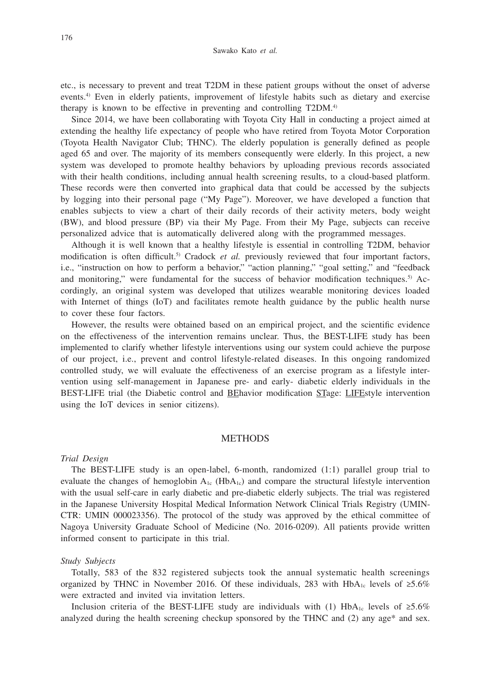etc., is necessary to prevent and treat T2DM in these patient groups without the onset of adverse events.4) Even in elderly patients, improvement of lifestyle habits such as dietary and exercise therapy is known to be effective in preventing and controlling T2DM.4)

Since 2014, we have been collaborating with Toyota City Hall in conducting a project aimed at extending the healthy life expectancy of people who have retired from Toyota Motor Corporation (Toyota Health Navigator Club; THNC). The elderly population is generally defined as people aged 65 and over. The majority of its members consequently were elderly. In this project, a new system was developed to promote healthy behaviors by uploading previous records associated with their health conditions, including annual health screening results, to a cloud-based platform. These records were then converted into graphical data that could be accessed by the subjects by logging into their personal page ("My Page"). Moreover, we have developed a function that enables subjects to view a chart of their daily records of their activity meters, body weight (BW), and blood pressure (BP) via their My Page. From their My Page, subjects can receive personalized advice that is automatically delivered along with the programmed messages.

Although it is well known that a healthy lifestyle is essential in controlling T2DM, behavior modification is often difficult.<sup>5)</sup> Cradock *et al.* previously reviewed that four important factors, i.e., "instruction on how to perform a behavior," "action planning," "goal setting," and "feedback and monitoring," were fundamental for the success of behavior modification techniques.<sup>5)</sup> Accordingly, an original system was developed that utilizes wearable monitoring devices loaded with Internet of things (IoT) and facilitates remote health guidance by the public health nurse to cover these four factors.

However, the results were obtained based on an empirical project, and the scientific evidence on the effectiveness of the intervention remains unclear. Thus, the BEST-LIFE study has been implemented to clarify whether lifestyle interventions using our system could achieve the purpose of our project, i.e., prevent and control lifestyle-related diseases. In this ongoing randomized controlled study, we will evaluate the effectiveness of an exercise program as a lifestyle intervention using self-management in Japanese pre- and early- diabetic elderly individuals in the BEST-LIFE trial (the Diabetic control and BEhavior modification STage: LIFEstyle intervention using the IoT devices in senior citizens).

## **METHODS**

#### *Trial Design*

The BEST-LIFE study is an open-label, 6-month, randomized (1:1) parallel group trial to evaluate the changes of hemoglobin  $A_{1c}$  (Hb $A_{1c}$ ) and compare the structural lifestyle intervention with the usual self-care in early diabetic and pre-diabetic elderly subjects. The trial was registered in the Japanese University Hospital Medical Information Network Clinical Trials Registry (UMIN-CTR: UMIN 000023356). The protocol of the study was approved by the ethical committee of Nagoya University Graduate School of Medicine (No. 2016-0209). All patients provide written informed consent to participate in this trial.

#### *Study Subjects*

Totally, 583 of the 832 registered subjects took the annual systematic health screenings organized by THNC in November 2016. Of these individuals, 283 with HbA<sub>1c</sub> levels of ≥5.6% were extracted and invited via invitation letters.

Inclusion criteria of the BEST-LIFE study are individuals with (1) HbA<sub>1c</sub> levels of  $\geq 5.6\%$ analyzed during the health screening checkup sponsored by the THNC and (2) any age\* and sex.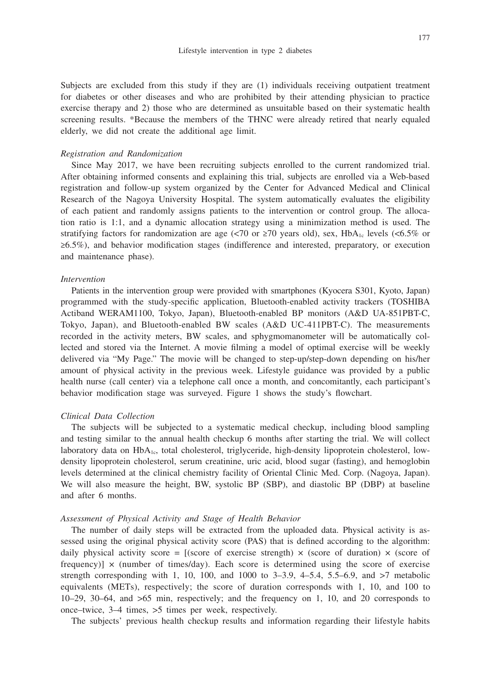Subjects are excluded from this study if they are (1) individuals receiving outpatient treatment for diabetes or other diseases and who are prohibited by their attending physician to practice exercise therapy and 2) those who are determined as unsuitable based on their systematic health screening results. \*Because the members of the THNC were already retired that nearly equaled elderly, we did not create the additional age limit.

#### *Registration and Randomization*

Since May 2017, we have been recruiting subjects enrolled to the current randomized trial. After obtaining informed consents and explaining this trial, subjects are enrolled via a Web-based registration and follow-up system organized by the Center for Advanced Medical and Clinical Research of the Nagoya University Hospital. The system automatically evaluates the eligibility of each patient and randomly assigns patients to the intervention or control group. The allocation ratio is 1:1, and a dynamic allocation strategy using a minimization method is used. The stratifying factors for randomization are age (<70 or  $\geq$ 70 years old), sex, HbA<sub>1c</sub> levels (<6.5% or ≥6.5%), and behavior modification stages (indifference and interested, preparatory, or execution and maintenance phase).

#### *Intervention*

Patients in the intervention group were provided with smartphones (Kyocera S301, Kyoto, Japan) programmed with the study-specific application, Bluetooth-enabled activity trackers (TOSHIBA Actiband WERAM1100, Tokyo, Japan), Bluetooth-enabled BP monitors (A&D UA-851PBT-C, Tokyo, Japan), and Bluetooth-enabled BW scales (A&D UC-411PBT-C). The measurements recorded in the activity meters, BW scales, and sphygmomanometer will be automatically collected and stored via the Internet. A movie filming a model of optimal exercise will be weekly delivered via "My Page." The movie will be changed to step-up/step-down depending on his/her amount of physical activity in the previous week. Lifestyle guidance was provided by a public health nurse (call center) via a telephone call once a month, and concomitantly, each participant's behavior modification stage was surveyed. Figure 1 shows the study's flowchart.

# *Clinical Data Collection*

The subjects will be subjected to a systematic medical checkup, including blood sampling and testing similar to the annual health checkup 6 months after starting the trial. We will collect laboratory data on  $HbA_{1c}$ , total cholesterol, triglyceride, high-density lipoprotein cholesterol, lowdensity lipoprotein cholesterol, serum creatinine, uric acid, blood sugar (fasting), and hemoglobin levels determined at the clinical chemistry facility of Oriental Clinic Med. Corp. (Nagoya, Japan). We will also measure the height, BW, systolic BP (SBP), and diastolic BP (DBP) at baseline and after 6 months.

## *Assessment of Physical Activity and Stage of Health Behavior*

The number of daily steps will be extracted from the uploaded data. Physical activity is assessed using the original physical activity score (PAS) that is defined according to the algorithm: daily physical activity score = [(score of exercise strength)  $\times$  (score of duration)  $\times$  (score of frequency)  $\times$  (number of times/day). Each score is determined using the score of exercise strength corresponding with 1, 10, 100, and 1000 to  $3-3.9$ ,  $4-5.4$ ,  $5.5-6.9$ , and  $>7$  metabolic equivalents (METs), respectively; the score of duration corresponds with 1, 10, and 100 to 10–29, 30–64, and >65 min, respectively; and the frequency on 1, 10, and 20 corresponds to once–twice, 3–4 times, >5 times per week, respectively.

The subjects' previous health checkup results and information regarding their lifestyle habits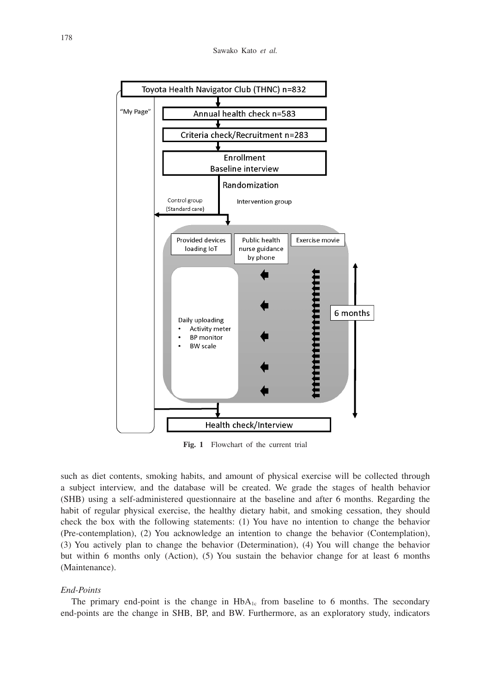

**Fig. 1** Flowchart of the current trial

such as diet contents, smoking habits, and amount of physical exercise will be collected through a subject interview, and the database will be created. We grade the stages of health behavior (SHB) using a self-administered questionnaire at the baseline and after 6 months. Regarding the habit of regular physical exercise, the healthy dietary habit, and smoking cessation, they should check the box with the following statements: (1) You have no intention to change the behavior (Pre-contemplation), (2) You acknowledge an intention to change the behavior (Contemplation), (3) You actively plan to change the behavior (Determination), (4) You will change the behavior but within 6 months only (Action), (5) You sustain the behavior change for at least 6 months (Maintenance).

## *End-Points*

The primary end-point is the change in  $HbA_{1c}$  from baseline to 6 months. The secondary end-points are the change in SHB, BP, and BW. Furthermore, as an exploratory study, indicators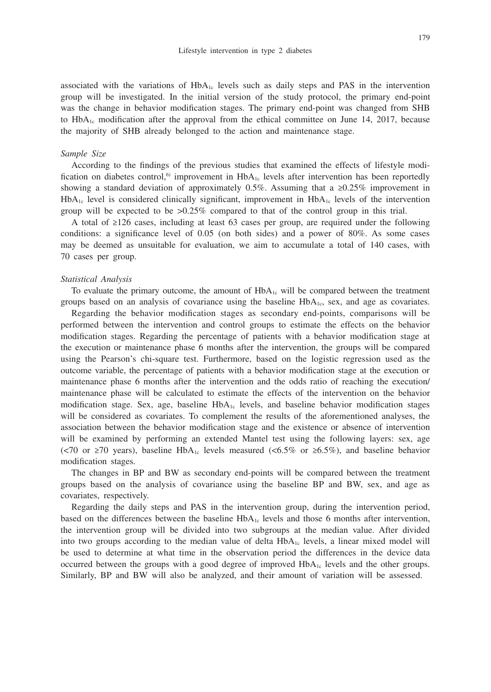associated with the variations of  $HbA_{1c}$  levels such as daily steps and PAS in the intervention group will be investigated. In the initial version of the study protocol, the primary end-point was the change in behavior modification stages. The primary end-point was changed from SHB to  $HbA_{1c}$  modification after the approval from the ethical committee on June 14, 2017, because the majority of SHB already belonged to the action and maintenance stage.

### *Sample Size*

According to the findings of the previous studies that examined the effects of lifestyle modification on diabetes control,<sup>6</sup> improvement in  $HbA_{1c}$  levels after intervention has been reportedly showing a standard deviation of approximately 0.5%. Assuming that a ≥0.25% improvement in  $HbA_{1c}$  level is considered clinically significant, improvement in  $HbA_{1c}$  levels of the intervention group will be expected to be >0.25% compared to that of the control group in this trial.

A total of ≥126 cases, including at least 63 cases per group, are required under the following conditions: a significance level of 0.05 (on both sides) and a power of 80%. As some cases may be deemed as unsuitable for evaluation, we aim to accumulate a total of 140 cases, with 70 cases per group.

#### *Statistical Analysis*

To evaluate the primary outcome, the amount of  $HbA<sub>1c</sub>$  will be compared between the treatment groups based on an analysis of covariance using the baseline  $HbA<sub>1c</sub>$ , sex, and age as covariates.

Regarding the behavior modification stages as secondary end-points, comparisons will be performed between the intervention and control groups to estimate the effects on the behavior modification stages. Regarding the percentage of patients with a behavior modification stage at the execution or maintenance phase 6 months after the intervention, the groups will be compared using the Pearson's chi-square test. Furthermore, based on the logistic regression used as the outcome variable, the percentage of patients with a behavior modification stage at the execution or maintenance phase 6 months after the intervention and the odds ratio of reaching the execution/ maintenance phase will be calculated to estimate the effects of the intervention on the behavior modification stage. Sex, age, baseline  $HbA_{1c}$  levels, and baseline behavior modification stages will be considered as covariates. To complement the results of the aforementioned analyses, the association between the behavior modification stage and the existence or absence of intervention will be examined by performing an extended Mantel test using the following layers: sex, age (<70 or ≥70 years), baseline HbA<sub>1c</sub> levels measured (<6.5% or ≥6.5%), and baseline behavior modification stages.

The changes in BP and BW as secondary end-points will be compared between the treatment groups based on the analysis of covariance using the baseline BP and BW, sex, and age as covariates, respectively.

Regarding the daily steps and PAS in the intervention group, during the intervention period, based on the differences between the baseline  $HbA_{1c}$  levels and those 6 months after intervention, the intervention group will be divided into two subgroups at the median value. After divided into two groups according to the median value of delta  $HbA_{1c}$  levels, a linear mixed model will be used to determine at what time in the observation period the differences in the device data occurred between the groups with a good degree of improved  $HbA_{1c}$  levels and the other groups. Similarly, BP and BW will also be analyzed, and their amount of variation will be assessed.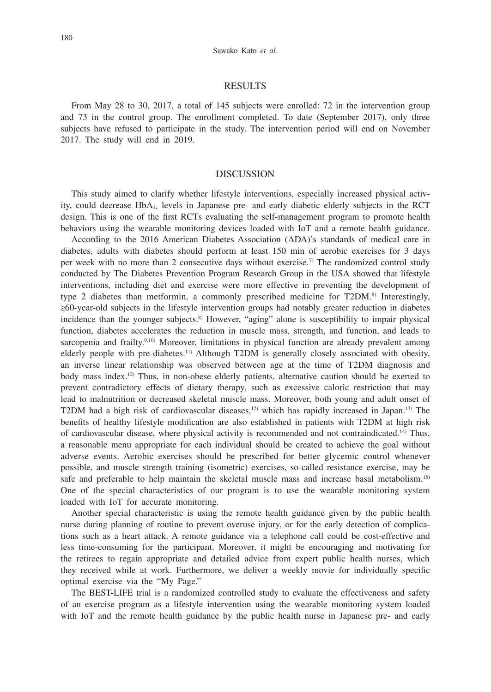#### Sawako Kato *et al.*

## RESULTS

From May 28 to 30, 2017, a total of 145 subjects were enrolled: 72 in the intervention group and 73 in the control group. The enrollment completed. To date (September 2017), only three subjects have refused to participate in the study. The intervention period will end on November 2017. The study will end in 2019.

# DISCUSSION

This study aimed to clarify whether lifestyle interventions, especially increased physical activity, could decrease  $HbA_{1c}$  levels in Japanese pre- and early diabetic elderly subjects in the RCT design. This is one of the first RCTs evaluating the self-management program to promote health behaviors using the wearable monitoring devices loaded with IoT and a remote health guidance.

According to the 2016 American Diabetes Association (ADA)'s standards of medical care in diabetes, adults with diabetes should perform at least 150 min of aerobic exercises for 3 days per week with no more than 2 consecutive days without exercise.<sup>7)</sup> The randomized control study conducted by The Diabetes Prevention Program Research Group in the USA showed that lifestyle interventions, including diet and exercise were more effective in preventing the development of type 2 diabetes than metformin, a commonly prescribed medicine for  $T2DM<sup>8</sup>$  Interestingly, ≥60-year-old subjects in the lifestyle intervention groups had notably greater reduction in diabetes incidence than the younger subjects.<sup>8)</sup> However, "aging" alone is susceptibility to impair physical function, diabetes accelerates the reduction in muscle mass, strength, and function, and leads to sarcopenia and frailty.<sup>9,10)</sup> Moreover, limitations in physical function are already prevalent among elderly people with pre-diabetes.<sup>11)</sup> Although T2DM is generally closely associated with obesity, an inverse linear relationship was observed between age at the time of T2DM diagnosis and body mass index.12) Thus, in non-obese elderly patients, alternative caution should be exerted to prevent contradictory effects of dietary therapy, such as excessive caloric restriction that may lead to malnutrition or decreased skeletal muscle mass. Moreover, both young and adult onset of T2DM had a high risk of cardiovascular diseases, $12$ ) which has rapidly increased in Japan.<sup>13</sup>) The benefits of healthy lifestyle modification are also established in patients with T2DM at high risk of cardiovascular disease, where physical activity is recommended and not contraindicated.14) Thus, a reasonable menu appropriate for each individual should be created to achieve the goal without adverse events. Aerobic exercises should be prescribed for better glycemic control whenever possible, and muscle strength training (isometric) exercises, so-called resistance exercise, may be safe and preferable to help maintain the skeletal muscle mass and increase basal metabolism.15) One of the special characteristics of our program is to use the wearable monitoring system loaded with IoT for accurate monitoring.

Another special characteristic is using the remote health guidance given by the public health nurse during planning of routine to prevent overuse injury, or for the early detection of complications such as a heart attack. A remote guidance via a telephone call could be cost-effective and less time-consuming for the participant. Moreover, it might be encouraging and motivating for the retirees to regain appropriate and detailed advice from expert public health nurses, which they received while at work. Furthermore, we deliver a weekly movie for individually specific optimal exercise via the "My Page."

The BEST-LIFE trial is a randomized controlled study to evaluate the effectiveness and safety of an exercise program as a lifestyle intervention using the wearable monitoring system loaded with IoT and the remote health guidance by the public health nurse in Japanese pre- and early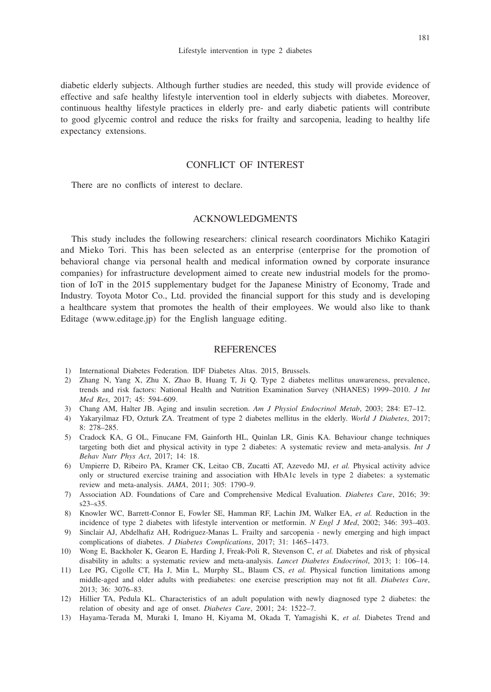diabetic elderly subjects. Although further studies are needed, this study will provide evidence of effective and safe healthy lifestyle intervention tool in elderly subjects with diabetes. Moreover, continuous healthy lifestyle practices in elderly pre- and early diabetic patients will contribute to good glycemic control and reduce the risks for frailty and sarcopenia, leading to healthy life expectancy extensions.

# CONFLICT OF INTEREST

There are no conflicts of interest to declare.

# ACKNOWLEDGMENTS

This study includes the following researchers: clinical research coordinators Michiko Katagiri and Mieko Tori. This has been selected as an enterprise (enterprise for the promotion of behavioral change via personal health and medical information owned by corporate insurance companies) for infrastructure development aimed to create new industrial models for the promotion of IoT in the 2015 supplementary budget for the Japanese Ministry of Economy, Trade and Industry. Toyota Motor Co., Ltd. provided the financial support for this study and is developing a healthcare system that promotes the health of their employees. We would also like to thank Editage (www.editage.jp) for the English language editing.

#### **REFERENCES**

- 1) International Diabetes Federation. IDF Diabetes Altas. 2015, Brussels.
- 2) Zhang N, Yang X, Zhu X, Zhao B, Huang T, Ji Q. Type 2 diabetes mellitus unawareness, prevalence, trends and risk factors: National Health and Nutrition Examination Survey (NHANES) 1999–2010. *J Int Med Res*, 2017; 45: 594–609.
- 3) Chang AM, Halter JB. Aging and insulin secretion. *Am J Physiol Endocrinol Metab*, 2003; 284: E7–12.
- 4) Yakaryilmaz FD, Ozturk ZA. Treatment of type 2 diabetes mellitus in the elderly. *World J Diabetes*, 2017; 8: 278–285.
- 5) Cradock KA, G OL, Finucane FM, Gainforth HL, Quinlan LR, Ginis KA. Behaviour change techniques targeting both diet and physical activity in type 2 diabetes: A systematic review and meta-analysis. *Int J Behav Nutr Phys Act*, 2017; 14: 18.
- 6) Umpierre D, Ribeiro PA, Kramer CK, Leitao CB, Zucatti AT, Azevedo MJ, *et al.* Physical activity advice only or structured exercise training and association with HbA1c levels in type 2 diabetes: a systematic review and meta-analysis. *JAMA*, 2011; 305: 1790–9.
- 7) Association AD. Foundations of Care and Comprehensive Medical Evaluation. *Diabetes Care*, 2016; 39: s23–s35.
- 8) Knowler WC, Barrett-Connor E, Fowler SE, Hamman RF, Lachin JM, Walker EA, *et al.* Reduction in the incidence of type 2 diabetes with lifestyle intervention or metformin. *N Engl J Med*, 2002; 346: 393–403.
- 9) Sinclair AJ, Abdelhafiz AH, Rodriguez-Manas L. Frailty and sarcopenia newly emerging and high impact complications of diabetes. *J Diabetes Complications*, 2017; 31: 1465–1473.
- 10) Wong E, Backholer K, Gearon E, Harding J, Freak-Poli R, Stevenson C, *et al.* Diabetes and risk of physical disability in adults: a systematic review and meta-analysis. *Lancet Diabetes Endocrinol*, 2013; 1: 106–14.
- 11) Lee PG, Cigolle CT, Ha J, Min L, Murphy SL, Blaum CS, *et al.* Physical function limitations among middle-aged and older adults with prediabetes: one exercise prescription may not fit all. *Diabetes Care*, 2013; 36: 3076–83.
- 12) Hillier TA, Pedula KL. Characteristics of an adult population with newly diagnosed type 2 diabetes: the relation of obesity and age of onset. *Diabetes Care*, 2001; 24: 1522–7.
- 13) Hayama-Terada M, Muraki I, Imano H, Kiyama M, Okada T, Yamagishi K, *et al.* Diabetes Trend and